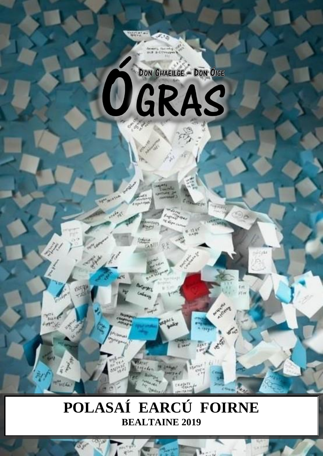

# POLASAÍ EARCÚ FOIRNE **BEALTAINE 2019**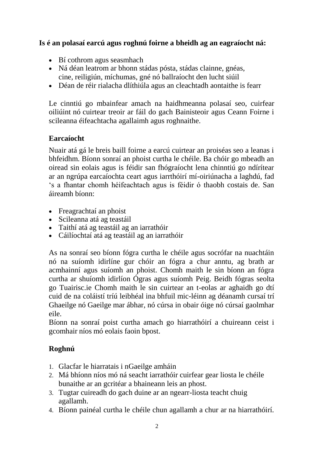### **Is é an polasaí earcú agus roghnú foirne a bheidh ag an eagraíocht ná:**

- Bí cothrom agus seasmhach
- Ná déan leatrom ar bhonn stádas pósta, stádas clainne, gnéas, cine, reiligiún, míchumas, gné nó ballraíocht den lucht siúil
- Déan de réir rialacha dlíthiúla agus an cleachtadh aontaithe is fearr

Le cinntiú go mbainfear amach na haidhmeanna polasaí seo, cuirfear oiliúint nó cuirtear treoir ar fáil do gach Bainisteoir agus Ceann Foirne i scileanna éifeachtacha agallaimh agus roghnaithe.

#### **Earcaíocht**

Nuair atá gá le breis baill foirne a earcú cuirtear an proiséas seo a leanas i bhfeidhm. Bíonn sonraí an phoist curtha le chéile. Ba chóir go mbeadh an oiread sin eolais agus is féidir san fhógraíocht lena chinntiú go ndírítear ar an ngrúpa earcaíochta ceart agus iarrthóirí mí-oiriúnacha a laghdú, fad 's a fhantar chomh héifeachtach agus is féidir ó thaobh costais de. San áireamh bíonn:

- Freagrachtaí an phoist
- Scileanna atá ag teastáil
- Taithí atá ag teastáil ag an iarrathóir
- Cáilíochtaí atá ag teastáil ag an iarrathóir

As na sonraí seo bíonn fógra curtha le chéile agus socrófar na nuachtáin nó na suíomh idirlíne gur chóir an fógra a chur anntu, ag brath ar acmhainní agus suíomh an phoist. Chomh maith le sin bíonn an fógra curtha ar shuíomh idirlíon Ógras agus suíomh Peig. Beidh fógras seolta go Tuairisc.ie Chomh maith le sin cuirtear an t-eolas ar aghaidh go dtí cuid de na coláistí tríú leibhéal ina bhfuil mic-léinn ag déanamh cursaí trí Ghaeilge nó Gaeilge mar ábhar, nó cúrsa in obair óige nó cúrsaí gaolmhar eile.

Bíonn na sonraí poist curtha amach go hiarrathóirí a chuireann ceist i gcomhair níos mó eolais faoin bpost.

### **Roghnú**

- 1. Glacfar le hiarratais i nGaeilge amháin
- 2. Má bhíonn níos mó ná seacht iarrathóir cuirfear gear liosta le chéile bunaithe ar an gcritéar a bhaineann leis an phost.
- 3. Tugtar cuireadh do gach duine ar an ngearr-liosta teacht chuig agallamh.
- 4. Bíonn painéal curtha le chéile chun agallamh a chur ar na hiarrathóirí.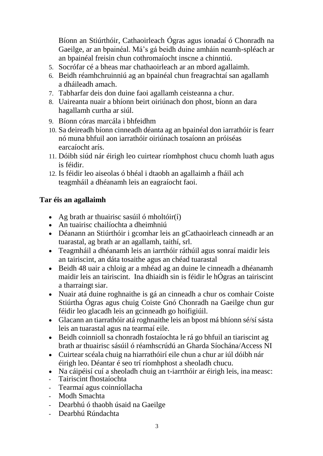Bíonn an Stiúrthóir, Cathaoirleach Ógras agus ionadaí ó Chonradh na Gaeilge, ar an bpainéal. Má's gá beidh duine amháin neamh-spléach ar an bpainéal freisin chun cothromaíocht inscne a chinntiú.

- 5. Socrófar cé a bheas mar chathaoirleach ar an mbord agallaimh.
- 6. Beidh réamhchruinniú ag an bpainéal chun freagrachtaí san agallamh a dháileadh amach.
- 7. Tabharfar deis don duine faoi agallamh ceisteanna a chur.
- 8. Uaireanta nuair a bhíonn beirt oiriúnach don phost, bíonn an dara hagallamh curtha ar siúl.
- 9. Bíonn córas marcála i bhfeidhm
- 10. Sa deireadh bíonn cinneadh déanta ag an bpainéal don iarrathóir is fearr nó muna bhfuil aon iarrathóir oiriúnach tosaíonn an próiséas earcaíocht arís.
- 11. Dóibh siúd nár éirigh leo cuirtear ríomhphost chucu chomh luath agus is féidir.
- 12. Is féidir leo aiseolas ó bhéal i dtaobh an agallaimh a fháil ach teagmháil a dhéanamh leis an eagraíocht faoi.

## **Tar éis an agallaimh**

- Ag brath ar thuairisc sasúil ó mholtóir $(i)$
- An tuairisc chailíochta a dheimhniú
- Déanann an Stiúrthóir i gcomhar leis an gCathaoirleach cinneadh ar an tuarastal, ag brath ar an agallamh, taithí, srl.
- Teagmháil a dhéanamh leis an iarrthóir ráthúil agus sonraí maidir leis an tairiscint, an dáta tosaithe agus an chéad tuarastal
- Beidh 48 uair a chloig ar a mhéad ag an duine le cinneadh a dhéanamh maidir leis an tairiscint. Ina dhiaidh sin is féidir le hÓgras an tairiscint a tharraingt siar.
- Nuair atá duine roghnaithe is gá an cinneadh a chur os comhair Coiste Stiúrtha Ógras agus chuig Coiste Gnó Chonradh na Gaeilge chun gur féidir leo glacadh leis an gcinneadh go hoifigiúil.
- Glacann an tiarrathóir atá roghnaithe leis an bpost má bhíonn sé/sí sásta leis an tuarastal agus na tearmaí eile.
- Beidh coinnioll sa chonradh fostaíochta le rá go bhfuil an tiariscint ag brath ar thuairisc sásúil ó réamhscrúdú an Gharda Síochána/Access NI
- Cuirtear scéala chuig na hiarrathóirí eile chun a chur ar iúl dóibh nár éirigh leo. Déantar é seo trí ríomhphost a sheoladh chucu.
- Na cáipéisí cuí a sheoladh chuig an t-iarrthóir ar éirigh leis, ina measc:
- Tairiscint fhostaíochta
- Tearmaí agus coinníollacha
- Modh Smachta
- Dearbhú ó thaobh úsaid na Gaeilge
- Dearbhú Rúndachta